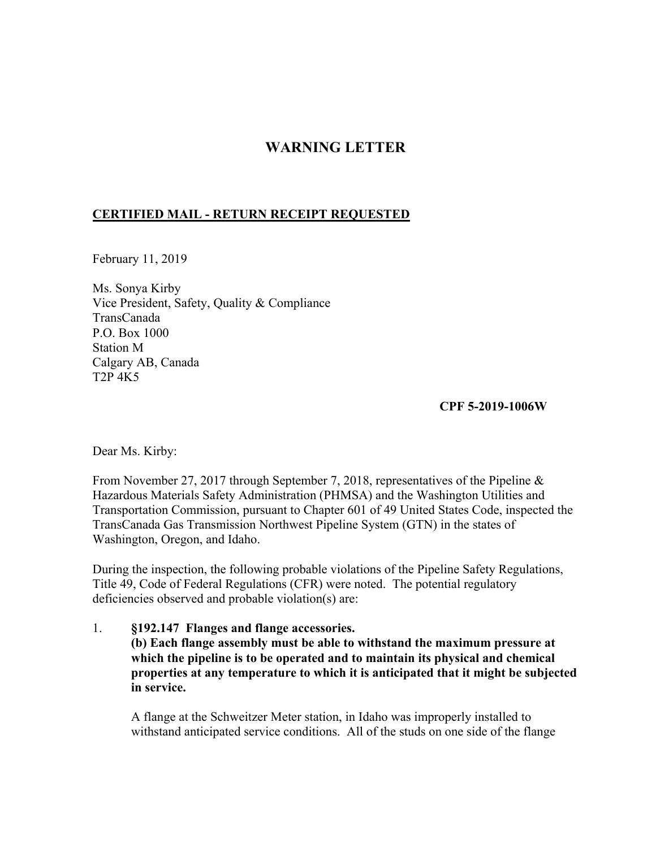# **WARNING LETTER**

## **CERTIFIED MAIL - RETURN RECEIPT REQUESTED**

February 11, 2019

Ms. Sonya Kirby Vice President, Safety, Quality & Compliance TransCanada P.O. Box 1000 Station M Calgary AB, Canada T2P 4K5

**CPF 5-2019-1006W** 

Dear Ms. Kirby:

From November 27, 2017 through September 7, 2018, representatives of the Pipeline & Hazardous Materials Safety Administration (PHMSA) and the Washington Utilities and Transportation Commission, pursuant to Chapter 601 of 49 United States Code, inspected the TransCanada Gas Transmission Northwest Pipeline System (GTN) in the states of Washington, Oregon, and Idaho.

During the inspection, the following probable violations of the Pipeline Safety Regulations, Title 49, Code of Federal Regulations (CFR) were noted. The potential regulatory deficiencies observed and probable violation(s) are:

1. **§192.147 Flanges and flange accessories. (b) Each flange assembly must be able to withstand the maximum pressure at which the pipeline is to be operated and to maintain its physical and chemical properties at any temperature to which it is anticipated that it might be subjected in service.**

A flange at the Schweitzer Meter station, in Idaho was improperly installed to withstand anticipated service conditions. All of the studs on one side of the flange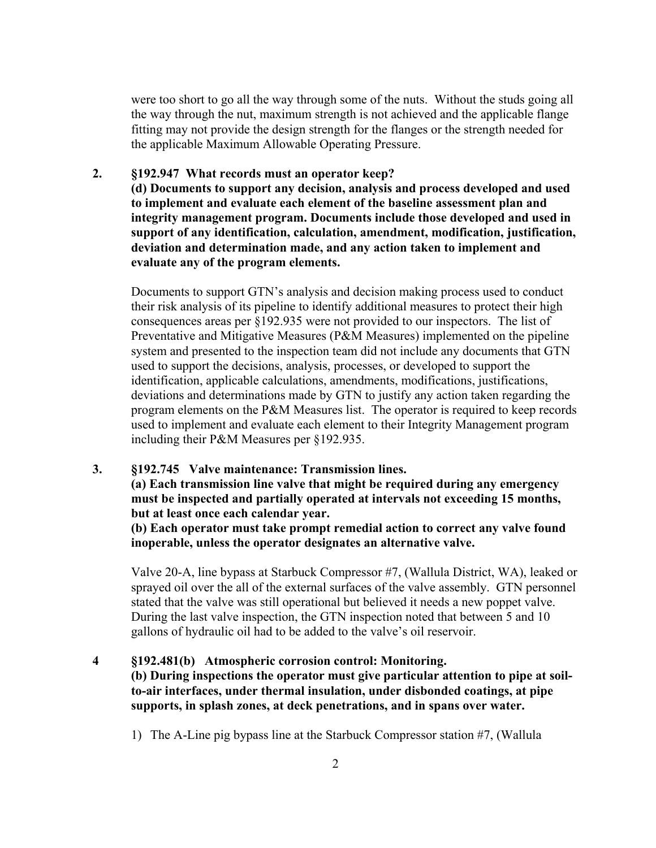were too short to go all the way through some of the nuts. Without the studs going all the way through the nut, maximum strength is not achieved and the applicable flange fitting may not provide the design strength for the flanges or the strength needed for the applicable Maximum Allowable Operating Pressure.

#### **2. §192.947 What records must an operator keep?**

**(d) Documents to support any decision, analysis and process developed and used to implement and evaluate each element of the baseline assessment plan and integrity management program. Documents include those developed and used in support of any identification, calculation, amendment, modification, justification, deviation and determination made, and any action taken to implement and evaluate any of the program elements.** 

Documents to support GTN's analysis and decision making process used to conduct their risk analysis of its pipeline to identify additional measures to protect their high consequences areas per §192.935 were not provided to our inspectors. The list of Preventative and Mitigative Measures (P&M Measures) implemented on the pipeline system and presented to the inspection team did not include any documents that GTN used to support the decisions, analysis, processes, or developed to support the identification, applicable calculations, amendments, modifications, justifications, deviations and determinations made by GTN to justify any action taken regarding the program elements on the P&M Measures list. The operator is required to keep records used to implement and evaluate each element to their Integrity Management program including their P&M Measures per §192.935.

#### **3. §192.745 Valve maintenance: Transmission lines.**

**(a) Each transmission line valve that might be required during any emergency must be inspected and partially operated at intervals not exceeding 15 months, but at least once each calendar year.** 

**(b) Each operator must take prompt remedial action to correct any valve found inoperable, unless the operator designates an alternative valve.** 

Valve 20-A, line bypass at Starbuck Compressor #7, (Wallula District, WA), leaked or sprayed oil over the all of the external surfaces of the valve assembly. GTN personnel stated that the valve was still operational but believed it needs a new poppet valve. During the last valve inspection, the GTN inspection noted that between 5 and 10 gallons of hydraulic oil had to be added to the valve's oil reservoir.

#### **§192.481(b) Atmospheric corrosion control: Monitoring. 4**

**(b) During inspections the operator must give particular attention to pipe at soilto-air interfaces, under thermal insulation, under disbonded coatings, at pipe supports, in splash zones, at deck penetrations, and in spans over water.** 

1) The A-Line pig bypass line at the Starbuck Compressor station #7, (Wallula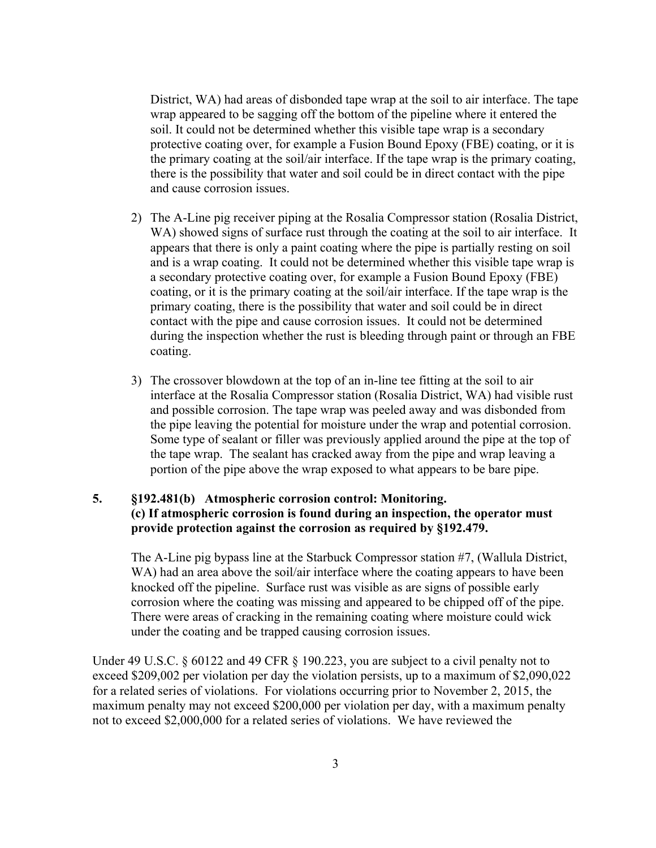District, WA) had areas of disbonded tape wrap at the soil to air interface. The tape wrap appeared to be sagging off the bottom of the pipeline where it entered the soil. It could not be determined whether this visible tape wrap is a secondary protective coating over, for example a Fusion Bound Epoxy (FBE) coating, or it is the primary coating at the soil/air interface. If the tape wrap is the primary coating, there is the possibility that water and soil could be in direct contact with the pipe and cause corrosion issues.

- 2) The A-Line pig receiver piping at the Rosalia Compressor station (Rosalia District, WA) showed signs of surface rust through the coating at the soil to air interface. It appears that there is only a paint coating where the pipe is partially resting on soil and is a wrap coating. It could not be determined whether this visible tape wrap is a secondary protective coating over, for example a Fusion Bound Epoxy (FBE) coating, or it is the primary coating at the soil/air interface. If the tape wrap is the primary coating, there is the possibility that water and soil could be in direct contact with the pipe and cause corrosion issues. It could not be determined during the inspection whether the rust is bleeding through paint or through an FBE coating.
- 3) The crossover blowdown at the top of an in-line tee fitting at the soil to air interface at the Rosalia Compressor station (Rosalia District, WA) had visible rust and possible corrosion. The tape wrap was peeled away and was disbonded from the pipe leaving the potential for moisture under the wrap and potential corrosion. Some type of sealant or filler was previously applied around the pipe at the top of the tape wrap. The sealant has cracked away from the pipe and wrap leaving a portion of the pipe above the wrap exposed to what appears to be bare pipe.

## **5. §192.481(b) Atmospheric corrosion control: Monitoring. (c) If atmospheric corrosion is found during an inspection, the operator must provide protection against the corrosion as required by §192.479.**

The A-Line pig bypass line at the Starbuck Compressor station #7, (Wallula District, WA) had an area above the soil/air interface where the coating appears to have been knocked off the pipeline. Surface rust was visible as are signs of possible early corrosion where the coating was missing and appeared to be chipped off of the pipe. There were areas of cracking in the remaining coating where moisture could wick under the coating and be trapped causing corrosion issues.

Under 49 U.S.C. § 60122 and 49 CFR § 190.223, you are subject to a civil penalty not to exceed \$209,002 per violation per day the violation persists, up to a maximum of \$2,090,022 for a related series of violations. For violations occurring prior to November 2, 2015, the maximum penalty may not exceed \$200,000 per violation per day, with a maximum penalty not to exceed \$2,000,000 for a related series of violations. We have reviewed the